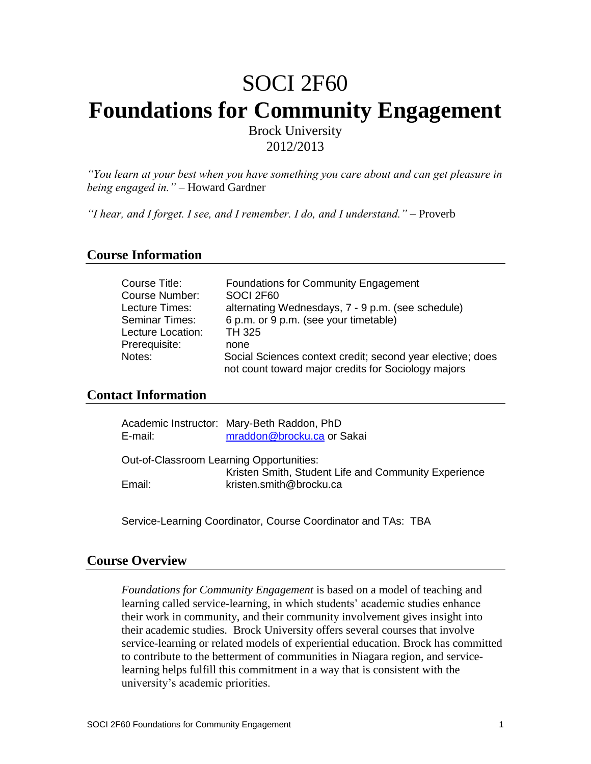# SOCI 2F60 **Foundations for Community Engagement** Brock University

2012/2013

*"You learn at your best when you have something you care about and can get pleasure in being engaged in."* – Howard Gardner

*"I hear, and I forget. I see, and I remember. I do, and I understand."* – Proverb

# **Course Information**

| Course Title:     | <b>Foundations for Community Engagement</b>                |
|-------------------|------------------------------------------------------------|
| Course Number:    | SOCI 2F60                                                  |
| Lecture Times:    | alternating Wednesdays, 7 - 9 p.m. (see schedule)          |
| Seminar Times:    | 6 p.m. or 9 p.m. (see your timetable)                      |
| Lecture Location: | TH 325                                                     |
| Prerequisite:     | none                                                       |
| Notes:            | Social Sciences context credit; second year elective; does |
|                   | not count toward major credits for Sociology majors        |

# **Contact Information**

| E-mail:                                  | Academic Instructor: Mary-Beth Raddon, PhD<br>mraddon@brocku.ca or Sakai |
|------------------------------------------|--------------------------------------------------------------------------|
| Out-of-Classroom Learning Opportunities: |                                                                          |
|                                          | Kristen Smith, Student Life and Community Experience                     |
| Email:                                   | kristen.smith@brocku.ca                                                  |
|                                          |                                                                          |

Service-Learning Coordinator, Course Coordinator and TAs: TBA

# **Course Overview**

*Foundations for Community Engagement* is based on a model of teaching and learning called service-learning, in which students' academic studies enhance their work in community, and their community involvement gives insight into their academic studies. Brock University offers several courses that involve service-learning or related models of experiential education. Brock has committed to contribute to the betterment of communities in Niagara region, and servicelearning helps fulfill this commitment in a way that is consistent with the university's academic priorities.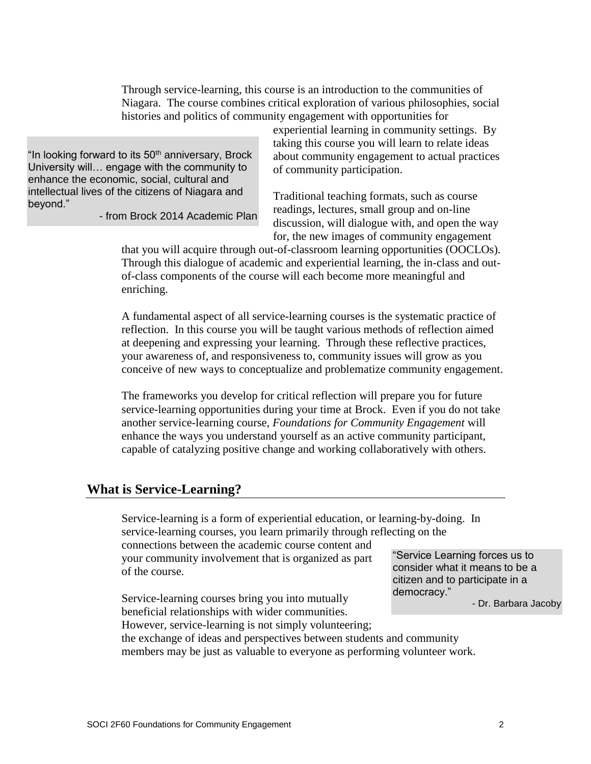Through service-learning, this course is an introduction to the communities of Niagara. The course combines critical exploration of various philosophies, social histories and politics of community engagement with opportunities for

"In looking forward to its 50<sup>th</sup> anniversary, Brock University will… engage with the community to enhance the economic, social, cultural and intellectual lives of the citizens of Niagara and beyond."

- from Brock 2014 Academic Plan

experiential learning in community settings. By taking this course you will learn to relate ideas about community engagement to actual practices of community participation.

Traditional teaching formats, such as course readings, lectures, small group and on-line discussion, will dialogue with, and open the way for, the new images of community engagement

that you will acquire through out-of-classroom learning opportunities (OOCLOs). Through this dialogue of academic and experiential learning, the in-class and outof-class components of the course will each become more meaningful and enriching.

A fundamental aspect of all service-learning courses is the systematic practice of reflection. In this course you will be taught various methods of reflection aimed at deepening and expressing your learning. Through these reflective practices, your awareness of, and responsiveness to, community issues will grow as you conceive of new ways to conceptualize and problematize community engagement.

The frameworks you develop for critical reflection will prepare you for future service-learning opportunities during your time at Brock. Even if you do not take another service-learning course, *Foundations for Community Engagement* will enhance the ways you understand yourself as an active community participant, capable of catalyzing positive change and working collaboratively with others.

# **What is Service-Learning?**

Service-learning is a form of experiential education, or learning-by-doing. In service-learning courses, you learn primarily through reflecting on the connections between the academic course content and

your community involvement that is organized as part of the course.

Service-learning courses bring you into mutually beneficial relationships with wider communities.

"Service Learning forces us to consider what it means to be a citizen and to participate in a democracy."

- Dr. Barbara Jacoby

However, service-learning is not simply volunteering; the exchange of ideas and perspectives between students and community

members may be just as valuable to everyone as performing volunteer work.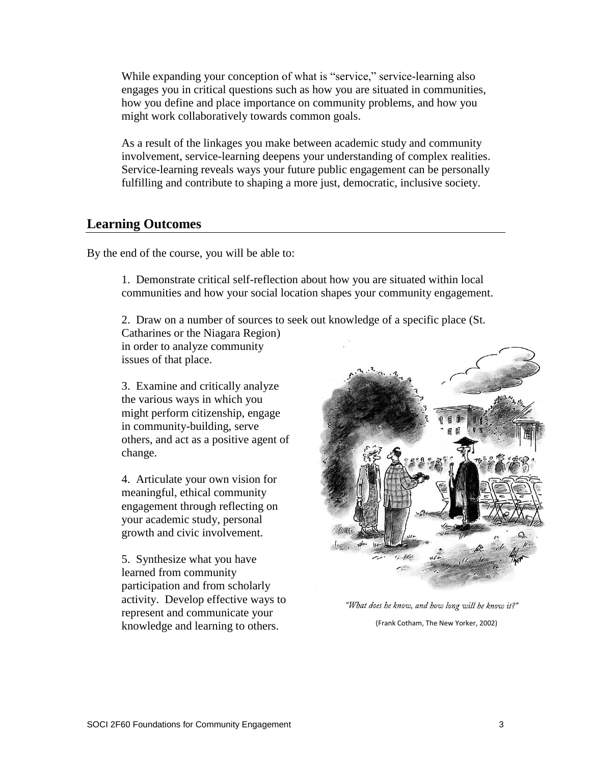While expanding your conception of what is "service," service-learning also engages you in critical questions such as how you are situated in communities, how you define and place importance on community problems, and how you might work collaboratively towards common goals.

As a result of the linkages you make between academic study and community involvement, service-learning deepens your understanding of complex realities. Service-learning reveals ways your future public engagement can be personally fulfilling and contribute to shaping a more just, democratic, inclusive society.

# **Learning Outcomes**

By the end of the course, you will be able to:

1. Demonstrate critical self-reflection about how you are situated within local communities and how your social location shapes your community engagement.

2. Draw on a number of sources to seek out knowledge of a specific place (St.

Catharines or the Niagara Region) in order to analyze community issues of that place.

3. Examine and critically analyze the various ways in which you might perform citizenship, engage in community-building, serve others, and act as a positive agent of change.

4. Articulate your own vision for meaningful, ethical community engagement through reflecting on your academic study, personal growth and civic involvement.

5. Synthesize what you have learned from community participation and from scholarly activity. Develop effective ways to represent and communicate your knowledge and learning to others. (Frank Cotham, The New Yorker, 2002)



"What does he know, and how long will he know it?"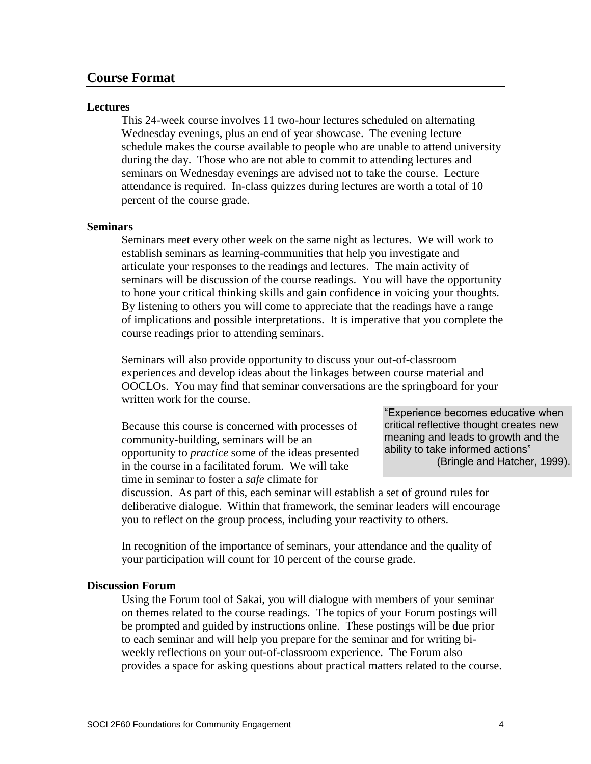# **Course Format**

#### **Lectures**

This 24-week course involves 11 two-hour lectures scheduled on alternating Wednesday evenings, plus an end of year showcase. The evening lecture schedule makes the course available to people who are unable to attend university during the day. Those who are not able to commit to attending lectures and seminars on Wednesday evenings are advised not to take the course. Lecture attendance is required. In-class quizzes during lectures are worth a total of 10 percent of the course grade.

#### **Seminars**

Seminars meet every other week on the same night as lectures. We will work to establish seminars as learning-communities that help you investigate and articulate your responses to the readings and lectures. The main activity of seminars will be discussion of the course readings. You will have the opportunity to hone your critical thinking skills and gain confidence in voicing your thoughts. By listening to others you will come to appreciate that the readings have a range of implications and possible interpretations. It is imperative that you complete the course readings prior to attending seminars.

Seminars will also provide opportunity to discuss your out-of-classroom experiences and develop ideas about the linkages between course material and OOCLOs. You may find that seminar conversations are the springboard for your written work for the course.

Because this course is concerned with processes of community-building, seminars will be an opportunity to *practice* some of the ideas presented in the course in a facilitated forum. We will take time in seminar to foster a *safe* climate for

"Experience becomes educative when critical reflective thought creates new meaning and leads to growth and the ability to take informed actions" (Bringle and Hatcher, 1999).

discussion. As part of this, each seminar will establish a set of ground rules for deliberative dialogue. Within that framework, the seminar leaders will encourage you to reflect on the group process, including your reactivity to others.

In recognition of the importance of seminars, your attendance and the quality of your participation will count for 10 percent of the course grade.

### **Discussion Forum**

Using the Forum tool of Sakai, you will dialogue with members of your seminar on themes related to the course readings. The topics of your Forum postings will be prompted and guided by instructions online. These postings will be due prior to each seminar and will help you prepare for the seminar and for writing biweekly reflections on your out-of-classroom experience. The Forum also provides a space for asking questions about practical matters related to the course.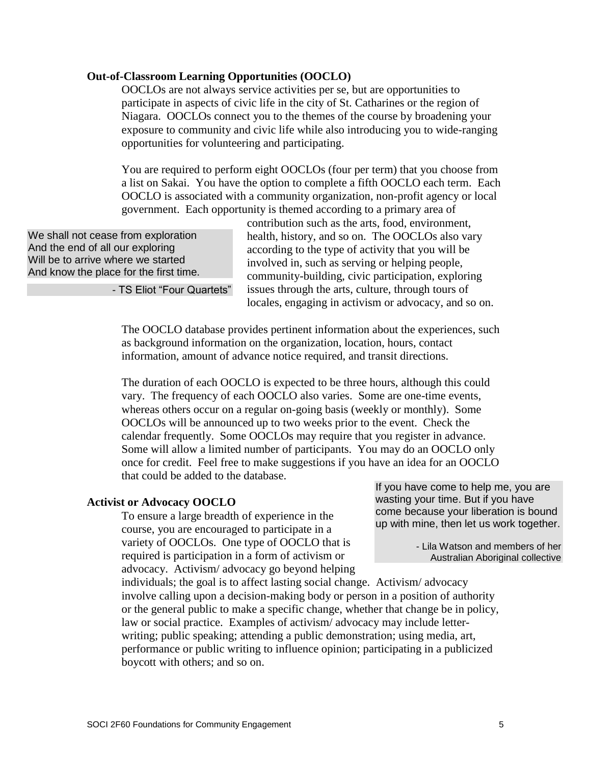### **Out-of-Classroom Learning Opportunities (OOCLO)**

OOCLOs are not always service activities per se, but are opportunities to participate in aspects of civic life in the city of St. Catharines or the region of Niagara. OOCLOs connect you to the themes of the course by broadening your exposure to community and civic life while also introducing you to wide-ranging opportunities for volunteering and participating.

You are required to perform eight OOCLOs (four per term) that you choose from a list on Sakai. You have the option to complete a fifth OOCLO each term. Each OOCLO is associated with a community organization, non-profit agency or local government. Each opportunity is themed according to a primary area of

We shall not cease from exploration And the end of all our exploring Will be to arrive where we started And know the place for the first time.

- TS Eliot "Four Quartets"

contribution such as the arts, food, environment, health, history, and so on. The OOCLOs also vary according to the type of activity that you will be involved in, such as serving or helping people, community-building, civic participation, exploring issues through the arts, culture, through tours of locales, engaging in activism or advocacy, and so on.

The OOCLO database provides pertinent information about the experiences, such as background information on the organization, location, hours, contact information, amount of advance notice required, and transit directions.

The duration of each OOCLO is expected to be three hours, although this could vary. The frequency of each OOCLO also varies. Some are one-time events, whereas others occur on a regular on-going basis (weekly or monthly). Some OOCLOs will be announced up to two weeks prior to the event. Check the calendar frequently. Some OOCLOs may require that you register in advance. Some will allow a limited number of participants. You may do an OOCLO only once for credit. Feel free to make suggestions if you have an idea for an OOCLO that could be added to the database.

#### **Activist or Advocacy OOCLO**

To ensure a large breadth of experience in the course, you are encouraged to participate in a variety of OOCLOs. One type of OOCLO that is required is participation in a form of activism or advocacy. Activism/ advocacy go beyond helping If you have come to help me, you are wasting your time. But if you have come because your liberation is bound up with mine, then let us work together.

> - Lila Watson and members of her Australian Aboriginal collective

individuals; the goal is to affect lasting social change. Activism/ advocacy involve calling upon a decision-making body or person in a position of authority or the general public to make a specific change, whether that change be in policy, law or social practice. Examples of activism/ advocacy may include letterwriting; public speaking; attending a public demonstration; using media, art, performance or public writing to influence opinion; participating in a publicized boycott with others; and so on.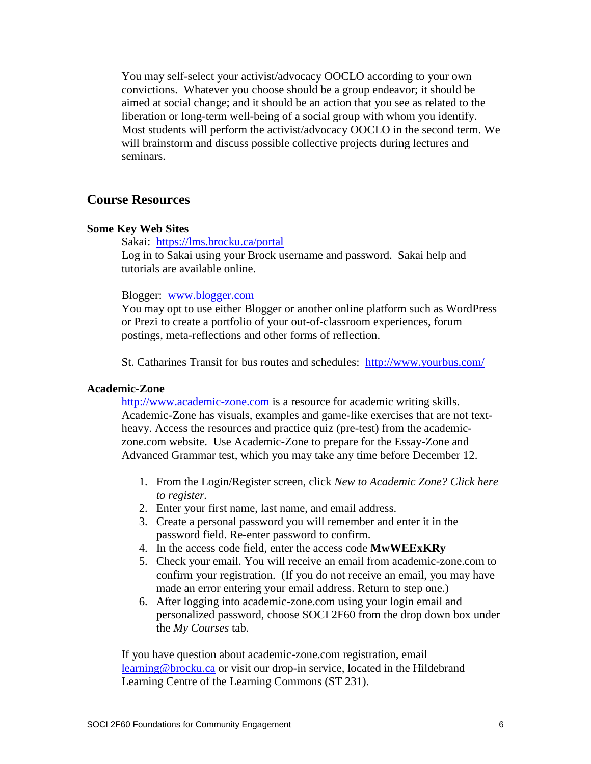You may self-select your activist/advocacy OOCLO according to your own convictions. Whatever you choose should be a group endeavor; it should be aimed at social change; and it should be an action that you see as related to the liberation or long-term well-being of a social group with whom you identify. Most students will perform the activist/advocacy OOCLO in the second term. We will brainstorm and discuss possible collective projects during lectures and seminars.

# **Course Resources**

#### **Some Key Web Sites**

Sakai: <https://lms.brocku.ca/portal> Log in to Sakai using your Brock username and password. Sakai help and tutorials are available online.

#### Blogger: [www.blogger.com](http://www.blogger.com/)

You may opt to use either Blogger or another online platform such as WordPress or Prezi to create a portfolio of your out-of-classroom experiences, forum postings, meta-reflections and other forms of reflection.

St. Catharines Transit for bus routes and schedules: <http://www.yourbus.com/>

#### **Academic-Zone**

[http://www.academic-zone.com](http://www.academic-zone.com/) is a resource for academic writing skills. Academic-Zone has visuals, examples and game-like exercises that are not textheavy. Access the resources and practice quiz (pre-test) from the academiczone.com website. Use Academic-Zone to prepare for the Essay-Zone and Advanced Grammar test, which you may take any time before December 12.

- 1. From the Login/Register screen, click *New to Academic Zone? Click here to register.*
- 2. Enter your first name, last name, and email address.
- 3. Create a personal password you will remember and enter it in the password field. Re-enter password to confirm.
- 4. In the access code field, enter the access code **MwWEExKRy**
- 5. Check your email. You will receive an email from academic-zone.com to confirm your registration. (If you do not receive an email, you may have made an error entering your email address. Return to step one.)
- 6. After logging into academic-zone.com using your login email and personalized password, choose SOCI 2F60 from the drop down box under the *My Courses* tab.

If you have question about academic-zone.com registration, email [learning@brocku.ca](mailto:learning@brocku.ca) or visit our drop-in service, located in the Hildebrand Learning Centre of the Learning Commons (ST 231).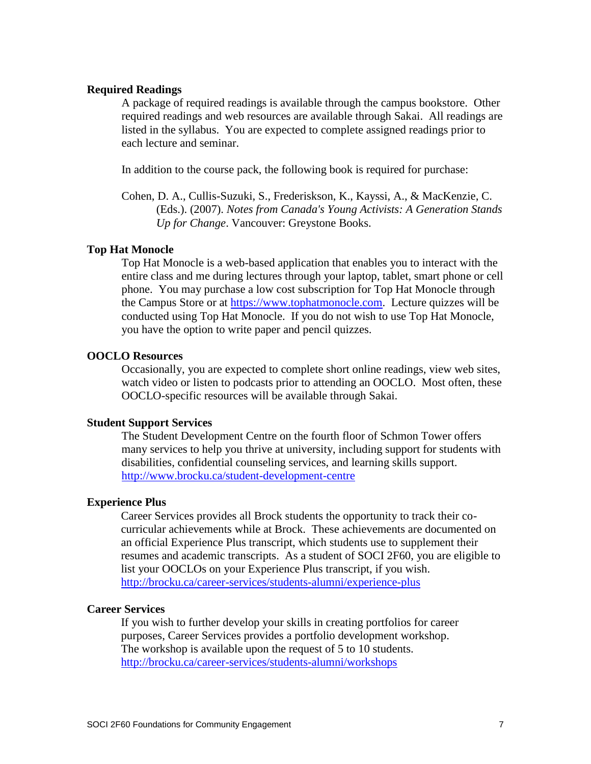### **Required Readings**

A package of required readings is available through the campus bookstore. Other required readings and web resources are available through Sakai. All readings are listed in the syllabus. You are expected to complete assigned readings prior to each lecture and seminar.

In addition to the course pack, the following book is required for purchase:

Cohen, D. A., Cullis-Suzuki, S., Frederiskson, K., Kayssi, A., & MacKenzie, C. (Eds.). (2007). *Notes from Canada's Young Activists: A Generation Stands Up for Change*. Vancouver: Greystone Books.

### **Top Hat Monocle**

Top Hat Monocle is a web-based application that enables you to interact with the entire class and me during lectures through your laptop, tablet, smart phone or cell phone. You may purchase a low cost subscription for Top Hat Monocle through the Campus Store or at [https://www.tophatmonocle.com.](https://www.tophatmonocle.com/) Lecture quizzes will be conducted using Top Hat Monocle. If you do not wish to use Top Hat Monocle, you have the option to write paper and pencil quizzes.

# **OOCLO Resources**

Occasionally, you are expected to complete short online readings, view web sites, watch video or listen to podcasts prior to attending an OOCLO. Most often, these OOCLO-specific resources will be available through Sakai.

#### **Student Support Services**

The Student Development Centre on the fourth floor of Schmon Tower offers many services to help you thrive at university, including support for students with disabilities, confidential counseling services, and learning skills support. <http://www.brocku.ca/student-development-centre>

#### **Experience Plus**

Career Services provides all Brock students the opportunity to track their cocurricular achievements while at Brock. These achievements are documented on an official Experience Plus transcript, which students use to supplement their resumes and academic transcripts. As a student of SOCI 2F60, you are eligible to list your OOCLOs on your Experience Plus transcript, if you wish. <http://brocku.ca/career-services/students-alumni/experience-plus>

#### **Career Services**

If you wish to further develop your skills in creating portfolios for career purposes, Career Services provides a portfolio development workshop. The workshop is available upon the request of 5 to 10 students. <http://brocku.ca/career-services/students-alumni/workshops>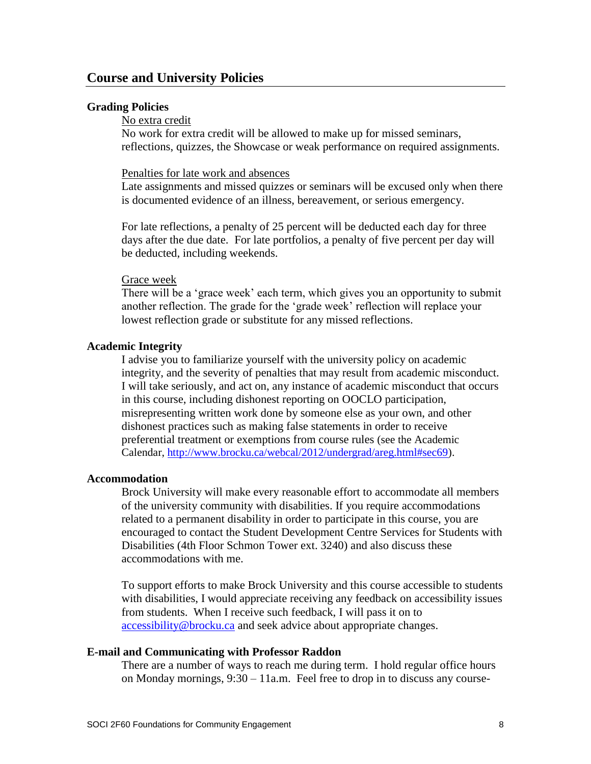### **Grading Policies**

#### No extra credit

No work for extra credit will be allowed to make up for missed seminars, reflections, quizzes, the Showcase or weak performance on required assignments.

### Penalties for late work and absences

Late assignments and missed quizzes or seminars will be excused only when there is documented evidence of an illness, bereavement, or serious emergency.

For late reflections, a penalty of 25 percent will be deducted each day for three days after the due date. For late portfolios, a penalty of five percent per day will be deducted, including weekends.

#### Grace week

There will be a 'grace week' each term, which gives you an opportunity to submit another reflection. The grade for the 'grade week' reflection will replace your lowest reflection grade or substitute for any missed reflections.

### **Academic Integrity**

I advise you to familiarize yourself with the university policy on academic integrity, and the severity of penalties that may result from academic misconduct. I will take seriously, and act on, any instance of academic misconduct that occurs in this course, including dishonest reporting on OOCLO participation, misrepresenting written work done by someone else as your own, and other dishonest practices such as making false statements in order to receive preferential treatment or exemptions from course rules (see the Academic Calendar, [http://www.brocku.ca/webcal/2012/undergrad/areg.html#sec69\)](http://www.brocku.ca/webcal/2012/undergrad/areg.html#sec69).

#### **Accommodation**

Brock University will make every reasonable effort to accommodate all members of the university community with disabilities. If you require accommodations related to a permanent disability in order to participate in this course, you are encouraged to contact the Student Development Centre Services for Students with Disabilities (4th Floor Schmon Tower ext. 3240) and also discuss these accommodations with me.

To support efforts to make Brock University and this course accessible to students with disabilities, I would appreciate receiving any feedback on accessibility issues from students. When I receive such feedback, I will pass it on to [accessibility@brocku.ca](file:///C:/Users/jkopczinski/AppData/Local/Microsoft/Windows/INetCache/Content.Outlook/7C8Z6YV3/accessibility@brocku.ca) and seek advice about appropriate changes.

### **E-mail and Communicating with Professor Raddon**

There are a number of ways to reach me during term. I hold regular office hours on Monday mornings, 9:30 – 11a.m. Feel free to drop in to discuss any course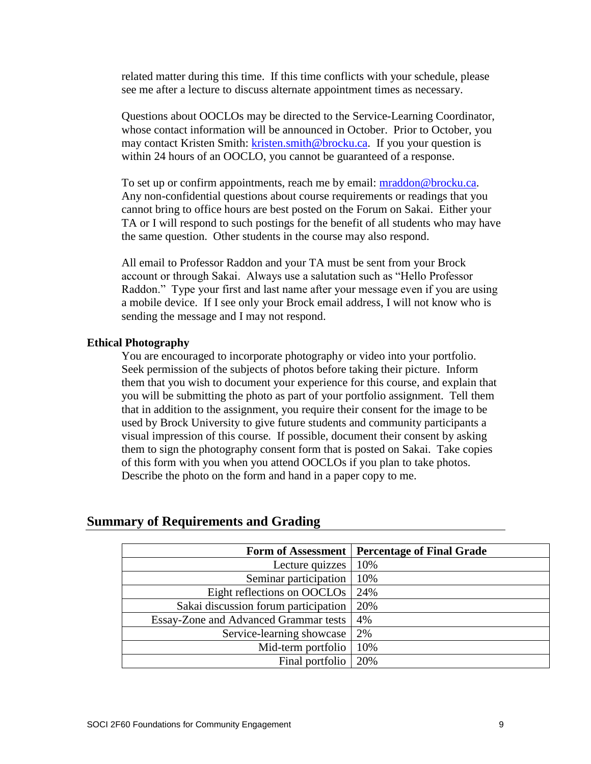related matter during this time. If this time conflicts with your schedule, please see me after a lecture to discuss alternate appointment times as necessary.

Questions about OOCLOs may be directed to the Service-Learning Coordinator, whose contact information will be announced in October. Prior to October, you may contact Kristen Smith: [kristen.smith@brocku.ca.](mailto:kristen.smith@brocku.ca) If you your question is within 24 hours of an OOCLO, you cannot be guaranteed of a response.

To set up or confirm appointments, reach me by email: [mraddon@brocku.ca.](mailto:mraddon@brocku.ca) Any non-confidential questions about course requirements or readings that you cannot bring to office hours are best posted on the Forum on Sakai. Either your TA or I will respond to such postings for the benefit of all students who may have the same question. Other students in the course may also respond.

All email to Professor Raddon and your TA must be sent from your Brock account or through Sakai. Always use a salutation such as "Hello Professor Raddon." Type your first and last name after your message even if you are using a mobile device. If I see only your Brock email address, I will not know who is sending the message and I may not respond.

### **Ethical Photography**

You are encouraged to incorporate photography or video into your portfolio. Seek permission of the subjects of photos before taking their picture. Inform them that you wish to document your experience for this course, and explain that you will be submitting the photo as part of your portfolio assignment. Tell them that in addition to the assignment, you require their consent for the image to be used by Brock University to give future students and community participants a visual impression of this course. If possible, document their consent by asking them to sign the photography consent form that is posted on Sakai. Take copies of this form with you when you attend OOCLOs if you plan to take photos. Describe the photo on the form and hand in a paper copy to me.

|                                       | Form of Assessment   Percentage of Final Grade |
|---------------------------------------|------------------------------------------------|
| Lecture quizzes                       | 10%                                            |
| Seminar participation                 | 10%                                            |
| Eight reflections on OOCLOs           | 24%                                            |
| Sakai discussion forum participation  | 20%                                            |
| Essay-Zone and Advanced Grammar tests | 4%                                             |
| Service-learning showcase             | 2%                                             |
| Mid-term portfolio                    | 10%                                            |
| Final portfolio                       | 20%                                            |

# **Summary of Requirements and Grading**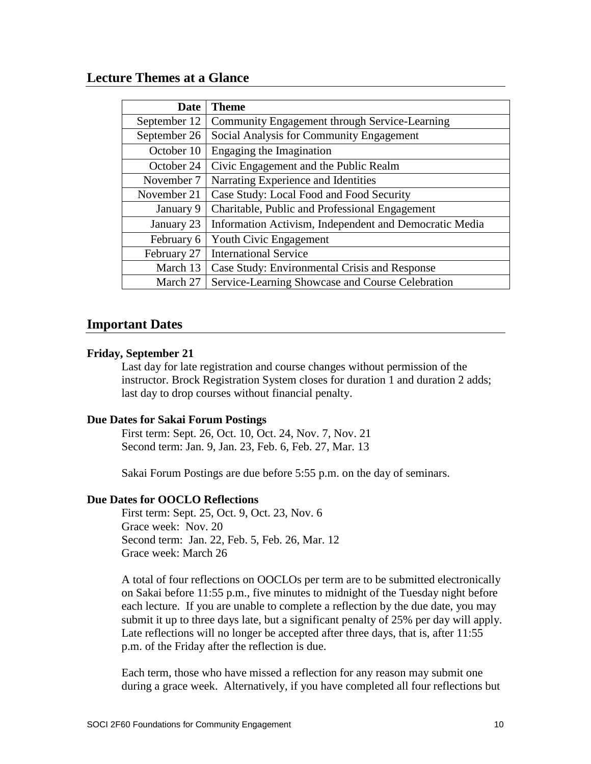# **Lecture Themes at a Glance**

| <b>Date</b>  | <b>Theme</b>                                           |
|--------------|--------------------------------------------------------|
| September 12 | Community Engagement through Service-Learning          |
| September 26 | Social Analysis for Community Engagement               |
| October 10   | Engaging the Imagination                               |
| October 24   | Civic Engagement and the Public Realm                  |
| November 7   | Narrating Experience and Identities                    |
| November 21  | Case Study: Local Food and Food Security               |
| January 9    | Charitable, Public and Professional Engagement         |
| January 23   | Information Activism, Independent and Democratic Media |
| February 6   | Youth Civic Engagement                                 |
| February 27  | <b>International Service</b>                           |
| March 13     | Case Study: Environmental Crisis and Response          |
| March 27     | Service-Learning Showcase and Course Celebration       |

# **Important Dates**

### **Friday, September 21**

Last day for late registration and course changes without permission of the instructor. Brock Registration System closes for duration 1 and duration 2 adds; last day to drop courses without financial penalty.

# **Due Dates for Sakai Forum Postings**

First term: Sept. 26, Oct. 10, Oct. 24, Nov. 7, Nov. 21 Second term: Jan. 9, Jan. 23, Feb. 6, Feb. 27, Mar. 13

Sakai Forum Postings are due before 5:55 p.m. on the day of seminars.

### **Due Dates for OOCLO Reflections**

First term: Sept. 25, Oct. 9, Oct. 23, Nov. 6 Grace week: Nov. 20 Second term: Jan. 22, Feb. 5, Feb. 26, Mar. 12 Grace week: March 26

A total of four reflections on OOCLOs per term are to be submitted electronically on Sakai before 11:55 p.m., five minutes to midnight of the Tuesday night before each lecture. If you are unable to complete a reflection by the due date, you may submit it up to three days late, but a significant penalty of 25% per day will apply. Late reflections will no longer be accepted after three days, that is, after 11:55 p.m. of the Friday after the reflection is due.

Each term, those who have missed a reflection for any reason may submit one during a grace week. Alternatively, if you have completed all four reflections but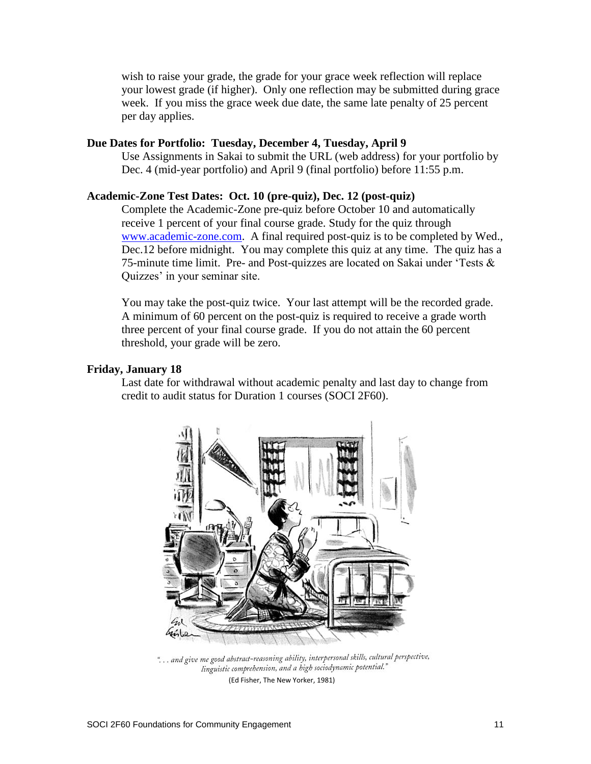wish to raise your grade, the grade for your grace week reflection will replace your lowest grade (if higher). Only one reflection may be submitted during grace week. If you miss the grace week due date, the same late penalty of 25 percent per day applies.

### **Due Dates for Portfolio: Tuesday, December 4, Tuesday, April 9**

Use Assignments in Sakai to submit the URL (web address) for your portfolio by Dec. 4 (mid-year portfolio) and April 9 (final portfolio) before 11:55 p.m.

### **Academic-Zone Test Dates: Oct. 10 (pre-quiz), Dec. 12 (post-quiz)**

Complete the Academic-Zone pre-quiz before October 10 and automatically receive 1 percent of your final course grade. Study for the quiz through [www.academic-zone.com.](http://www.academic-zone.com/) A final required post-quiz is to be completed by Wed., Dec.12 before midnight. You may complete this quiz at any time. The quiz has a 75-minute time limit. Pre- and Post-quizzes are located on Sakai under 'Tests  $\&$ Quizzes' in your seminar site.

You may take the post-quiz twice. Your last attempt will be the recorded grade. A minimum of 60 percent on the post-quiz is required to receive a grade worth three percent of your final course grade. If you do not attain the 60 percent threshold, your grade will be zero.

#### **Friday, January 18**

Last date for withdrawal without academic penalty and last day to change from credit to audit status for Duration 1 courses (SOCI 2F60).



"... and give me good abstract-reasoning ability, interpersonal skills, cultural perspective, linguistic comprehension, and a high sociodynamic potential."

(Ed Fisher, The New Yorker, 1981)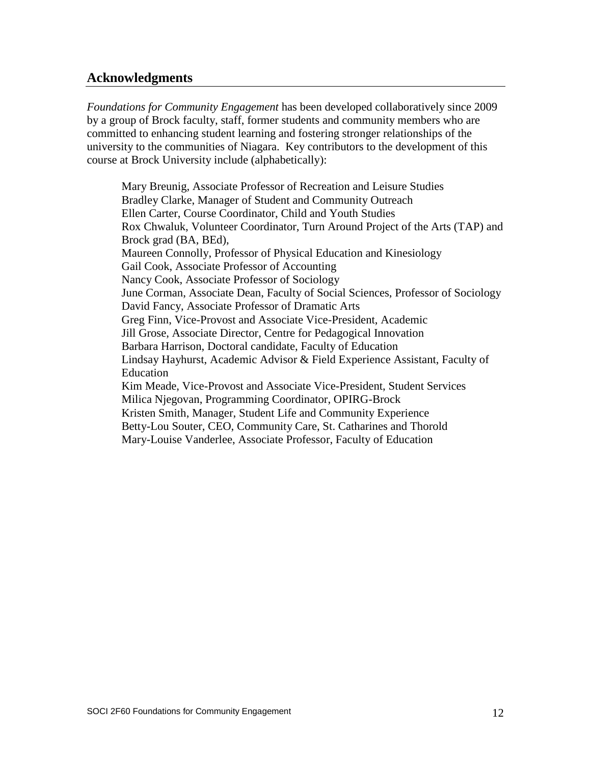# **Acknowledgments**

*Foundations for Community Engagement* has been developed collaboratively since 2009 by a group of Brock faculty, staff, former students and community members who are committed to enhancing student learning and fostering stronger relationships of the university to the communities of Niagara. Key contributors to the development of this course at Brock University include (alphabetically):

Mary Breunig, Associate Professor of Recreation and Leisure Studies Bradley Clarke, Manager of Student and Community Outreach Ellen Carter, Course Coordinator, Child and Youth Studies Rox Chwaluk, Volunteer Coordinator, Turn Around Project of the Arts (TAP) and Brock grad (BA, BEd), Maureen Connolly, Professor of Physical Education and Kinesiology Gail Cook, Associate Professor of Accounting Nancy Cook, Associate Professor of Sociology June Corman, Associate Dean, Faculty of Social Sciences, Professor of Sociology David Fancy, Associate Professor of Dramatic Arts Greg Finn, Vice-Provost and Associate Vice-President, Academic Jill Grose, Associate Director, Centre for Pedagogical Innovation Barbara Harrison, Doctoral candidate, Faculty of Education Lindsay Hayhurst, Academic Advisor & Field Experience Assistant, Faculty of Education Kim Meade, Vice-Provost and Associate Vice-President, Student Services Milica Njegovan, Programming Coordinator, OPIRG-Brock Kristen Smith, Manager, Student Life and Community Experience Betty-Lou Souter, CEO, Community Care, St. Catharines and Thorold Mary-Louise Vanderlee, Associate Professor, Faculty of Education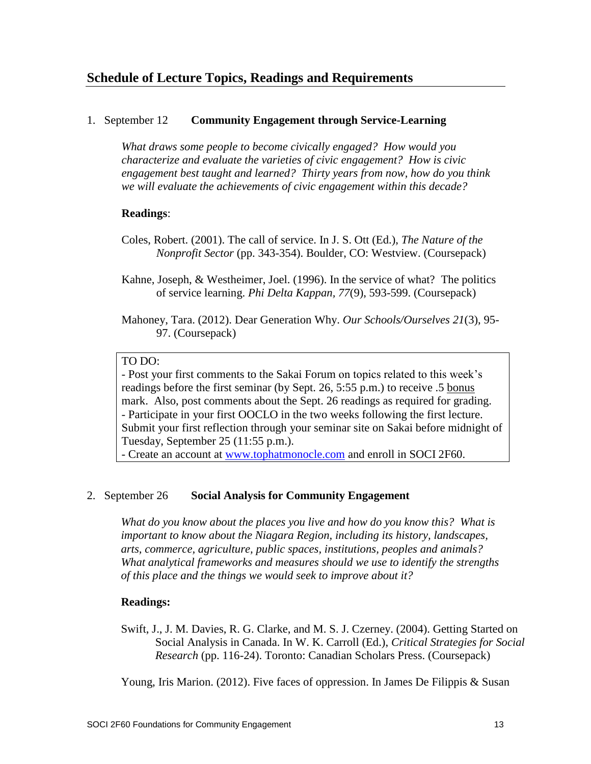# 1. September 12 **Community Engagement through Service-Learning**

*What draws some people to become civically engaged? How would you characterize and evaluate the varieties of civic engagement? How is civic engagement best taught and learned? Thirty years from now, how do you think we will evaluate the achievements of civic engagement within this decade?*

# **Readings**:

- Coles, Robert. (2001). The call of service. In J. S. Ott (Ed.), *The Nature of the Nonprofit Sector* (pp. 343-354). Boulder, CO: Westview. (Coursepack)
- Kahne, Joseph, & Westheimer, Joel. (1996). In the service of what? The politics of service learning. *Phi Delta Kappan, 77*(9), 593-599. (Coursepack)
- Mahoney, Tara. (2012). Dear Generation Why. *Our Schools/Ourselves 21*(3), 95- 97. (Coursepack)

# TO DO:

- Post your first comments to the Sakai Forum on topics related to this week's readings before the first seminar (by Sept. 26, 5:55 p.m.) to receive .5 bonus mark. Also, post comments about the Sept. 26 readings as required for grading. - Participate in your first OOCLO in the two weeks following the first lecture. Submit your first reflection through your seminar site on Sakai before midnight of Tuesday, September 25 (11:55 p.m.).

- Create an account at [www.tophatmonocle.com](http://www.tophatmonocle.com/) and enroll in SOCI 2F60.

# 2. September 26 **Social Analysis for Community Engagement**

*What do you know about the places you live and how do you know this? What is important to know about the Niagara Region, including its history, landscapes, arts, commerce, agriculture, public spaces, institutions, peoples and animals? What analytical frameworks and measures should we use to identify the strengths of this place and the things we would seek to improve about it?*

# **Readings:**

Swift, J., J. M. Davies, R. G. Clarke, and M. S. J. Czerney. (2004). Getting Started on Social Analysis in Canada. In W. K. Carroll (Ed.), *Critical Strategies for Social Research* (pp. 116-24). Toronto: Canadian Scholars Press. (Coursepack)

Young, Iris Marion. (2012). Five faces of oppression. In James De Filippis & Susan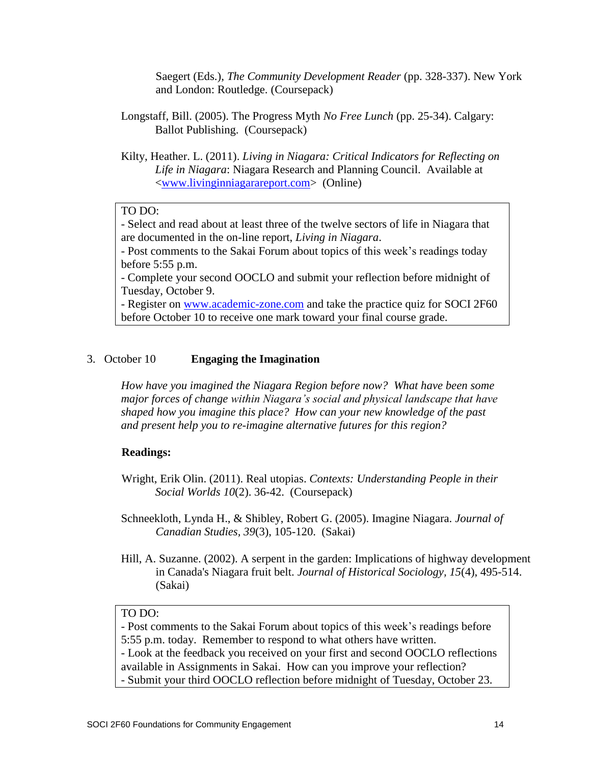Saegert (Eds.), *The Community Development Reader* (pp. 328-337). New York and London: Routledge. (Coursepack)

- Longstaff, Bill. (2005). The Progress Myth *No Free Lunch* (pp. 25-34). Calgary: Ballot Publishing. (Coursepack)
- Kilty, Heather. L. (2011). *Living in Niagara: Critical Indicators for Reflecting on Life in Niagara*: Niagara Research and Planning Council. Available at [<www.livinginniagarareport.com>](http://www.livinginniagarareport.com/) (Online)

# TO DO:

- Select and read about at least three of the twelve sectors of life in Niagara that are documented in the on-line report, *Living in Niagara*.

- Post comments to the Sakai Forum about topics of this week's readings today before 5:55 p.m.

- Complete your second OOCLO and submit your reflection before midnight of Tuesday, October 9.

- Register on [www.academic-zone.com](http://www.academic-zone.com/) and take the practice quiz for SOCI 2F60 before October 10 to receive one mark toward your final course grade.

### 3. October 10 **Engaging the Imagination**

*How have you imagined the Niagara Region before now? What have been some major forces of change within Niagara's social and physical landscape that have shaped how you imagine this place? How can your new knowledge of the past and present help you to re-imagine alternative futures for this region?* 

### **Readings:**

- Wright, Erik Olin. (2011). Real utopias. *Contexts: Understanding People in their Social Worlds 10*(2). 36-42. (Coursepack)
- Schneekloth, Lynda H., & Shibley, Robert G. (2005). Imagine Niagara. *Journal of Canadian Studies, 39*(3), 105-120. (Sakai)
- Hill, A. Suzanne. (2002). A serpent in the garden: Implications of highway development in Canada's Niagara fruit belt. *Journal of Historical Sociology, 15*(4), 495-514. (Sakai)

# TO DO:

- Post comments to the Sakai Forum about topics of this week's readings before 5:55 p.m. today. Remember to respond to what others have written.

- Look at the feedback you received on your first and second OOCLO reflections available in Assignments in Sakai. How can you improve your reflection?

- Submit your third OOCLO reflection before midnight of Tuesday, October 23.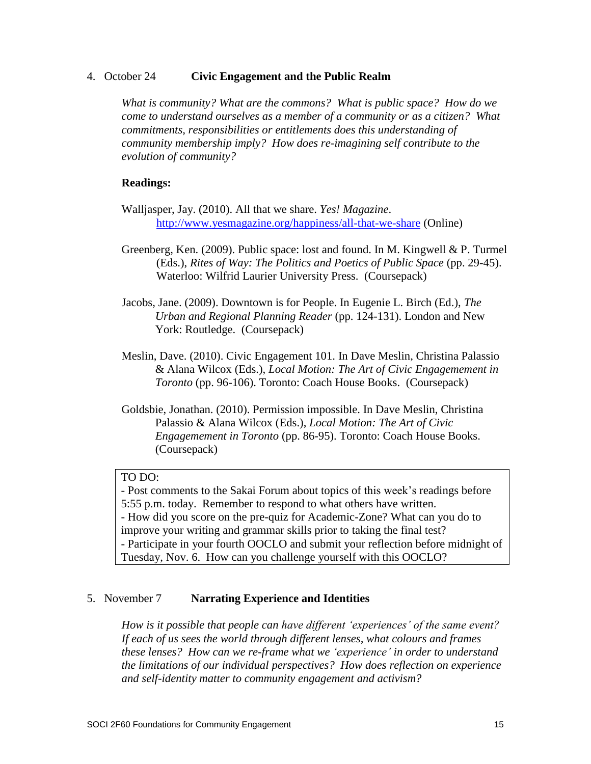### 4. October 24 **Civic Engagement and the Public Realm**

*What is community? What are the commons? What is public space? How do we come to understand ourselves as a member of a community or as a citizen? What commitments, responsibilities or entitlements does this understanding of community membership imply? How does re-imagining self contribute to the evolution of community?*

### **Readings:**

- Walljasper, Jay. (2010). All that we share. *Yes! Magazine*. <http://www.yesmagazine.org/happiness/all-that-we-share> (Online)
- Greenberg, Ken. (2009). Public space: lost and found. In M. Kingwell & P. Turmel (Eds.), *Rites of Way: The Politics and Poetics of Public Space* (pp. 29-45). Waterloo: Wilfrid Laurier University Press. (Coursepack)
- Jacobs, Jane. (2009). Downtown is for People. In Eugenie L. Birch (Ed.), *The Urban and Regional Planning Reader* (pp. 124-131). London and New York: Routledge. (Coursepack)
- Meslin, Dave. (2010). Civic Engagement 101. In Dave Meslin, Christina Palassio & Alana Wilcox (Eds.), *Local Motion: The Art of Civic Engagemement in Toronto* (pp. 96-106). Toronto: Coach House Books. (Coursepack)
- Goldsbie, Jonathan. (2010). Permission impossible. In Dave Meslin, Christina Palassio & Alana Wilcox (Eds.), *Local Motion: The Art of Civic Engagemement in Toronto* (pp. 86-95). Toronto: Coach House Books. (Coursepack)

# TO DO:

- Post comments to the Sakai Forum about topics of this week's readings before 5:55 p.m. today. Remember to respond to what others have written. - How did you score on the pre-quiz for Academic-Zone? What can you do to improve your writing and grammar skills prior to taking the final test? - Participate in your fourth OOCLO and submit your reflection before midnight of Tuesday, Nov. 6. How can you challenge yourself with this OOCLO?

# 5. November 7 **Narrating Experience and Identities**

*How is it possible that people can have different 'experiences' of the same event? If each of us sees the world through different lenses, what colours and frames these lenses? How can we re-frame what we 'experience' in order to understand the limitations of our individual perspectives? How does reflection on experience and self-identity matter to community engagement and activism?*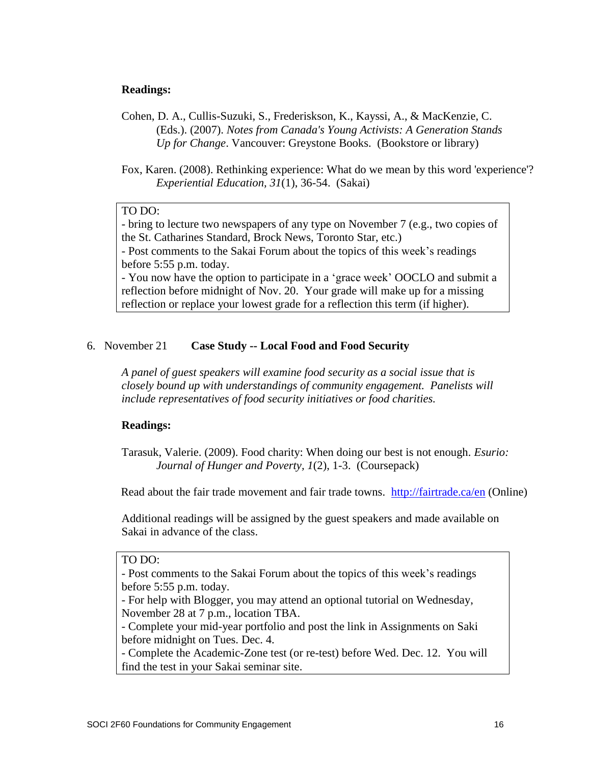### **Readings:**

- Cohen, D. A., Cullis-Suzuki, S., Frederiskson, K., Kayssi, A., & MacKenzie, C. (Eds.). (2007). *Notes from Canada's Young Activists: A Generation Stands Up for Change*. Vancouver: Greystone Books. (Bookstore or library)
- Fox, Karen. (2008). Rethinking experience: What do we mean by this word 'experience'? *Experiential Education, 31*(1), 36-54. (Sakai)

### TO DO:

- bring to lecture two newspapers of any type on November 7 (e.g., two copies of the St. Catharines Standard, Brock News, Toronto Star, etc.)

- Post comments to the Sakai Forum about the topics of this week's readings before 5:55 p.m. today.

- You now have the option to participate in a 'grace week' OOCLO and submit a reflection before midnight of Nov. 20. Your grade will make up for a missing reflection or replace your lowest grade for a reflection this term (if higher).

### 6. November 21 **Case Study -- Local Food and Food Security**

*A panel of guest speakers will examine food security as a social issue that is closely bound up with understandings of community engagement. Panelists will include representatives of food security initiatives or food charities.* 

### **Readings:**

Tarasuk, Valerie. (2009). Food charity: When doing our best is not enough. *Esurio: Journal of Hunger and Poverty, 1*(2), 1-3. (Coursepack)

Read about the fair trade movement and fair trade towns. <http://fairtrade.ca/en> (Online)

Additional readings will be assigned by the guest speakers and made available on Sakai in advance of the class.

### TO DO:

- Post comments to the Sakai Forum about the topics of this week's readings before 5:55 p.m. today.

- For help with Blogger, you may attend an optional tutorial on Wednesday, November 28 at 7 p.m., location TBA.

- Complete your mid-year portfolio and post the link in Assignments on Saki before midnight on Tues. Dec. 4.

- Complete the Academic-Zone test (or re-test) before Wed. Dec. 12. You will find the test in your Sakai seminar site.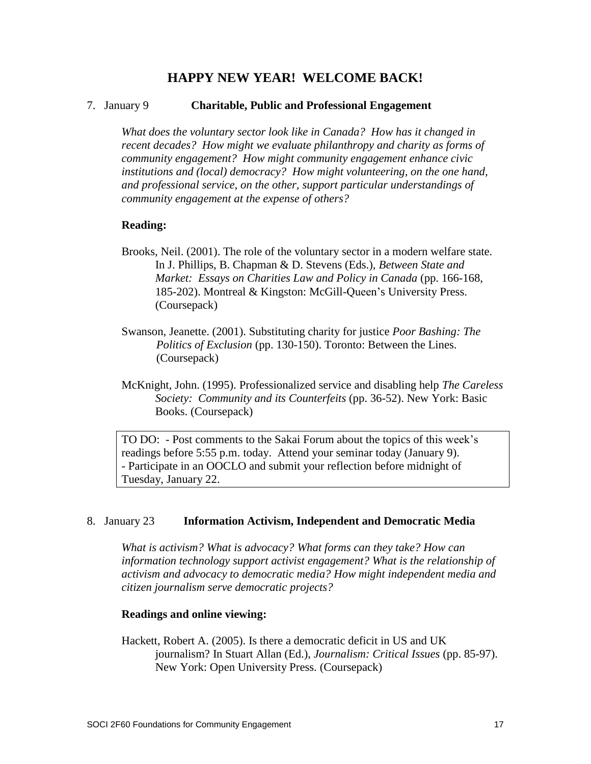# **HAPPY NEW YEAR! WELCOME BACK!**

### 7. January 9 **Charitable, Public and Professional Engagement**

*What does the voluntary sector look like in Canada? How has it changed in recent decades? How might we evaluate philanthropy and charity as forms of community engagement? How might community engagement enhance civic institutions and (local) democracy? How might volunteering, on the one hand, and professional service, on the other, support particular understandings of community engagement at the expense of others?*

### **Reading:**

- Brooks, Neil. (2001). The role of the voluntary sector in a modern welfare state. In J. Phillips, B. Chapman & D. Stevens (Eds.), *Between State and Market: Essays on Charities Law and Policy in Canada* (pp. 166-168, 185-202). Montreal & Kingston: McGill-Queen's University Press. (Coursepack)
- Swanson, Jeanette. (2001). Substituting charity for justice *Poor Bashing: The Politics of Exclusion* (pp. 130-150). Toronto: Between the Lines. (Coursepack)
- McKnight, John. (1995). Professionalized service and disabling help *The Careless Society: Community and its Counterfeits* (pp. 36-52). New York: Basic Books. (Coursepack)

TO DO: - Post comments to the Sakai Forum about the topics of this week's readings before 5:55 p.m. today. Attend your seminar today (January 9). - Participate in an OOCLO and submit your reflection before midnight of Tuesday, January 22.

#### 8. January 23 **Information Activism, Independent and Democratic Media**

*What is activism? What is advocacy? What forms can they take? How can information technology support activist engagement? What is the relationship of activism and advocacy to democratic media? How might independent media and citizen journalism serve democratic projects?*

#### **Readings and online viewing:**

Hackett, Robert A. (2005). Is there a democratic deficit in US and UK journalism? In Stuart Allan (Ed.), *Journalism: Critical Issues* (pp. 85-97). New York: Open University Press. (Coursepack)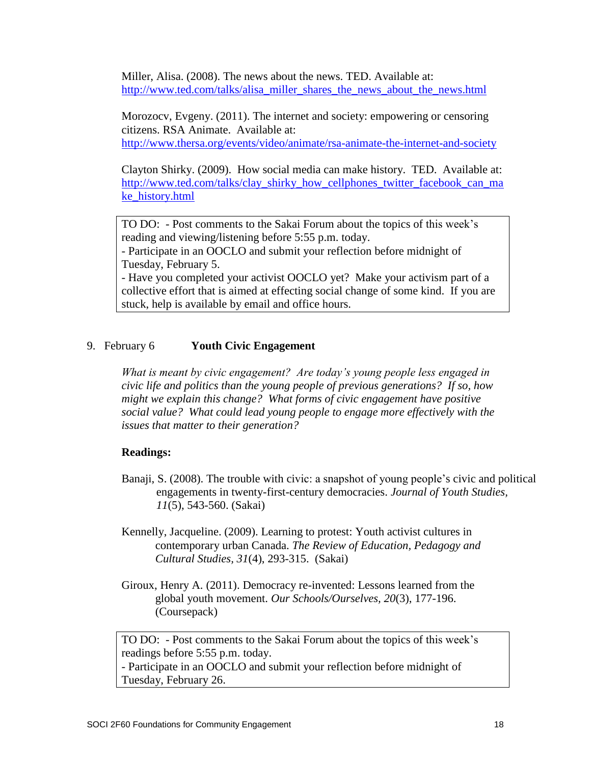Miller, Alisa. (2008). The news about the news. TED. Available at: [http://www.ted.com/talks/alisa\\_miller\\_shares\\_the\\_news\\_about\\_the\\_news.html](http://www.ted.com/talks/alisa_miller_shares_the_news_about_the_news.html)

Morozocv, Evgeny. (2011). The internet and society: empowering or censoring citizens. RSA Animate. Available at: <http://www.thersa.org/events/video/animate/rsa-animate-the-internet-and-society>

Clayton Shirky. (2009). How social media can make history. TED. Available at: [http://www.ted.com/talks/clay\\_shirky\\_how\\_cellphones\\_twitter\\_facebook\\_can\\_ma](http://www.ted.com/talks/clay_shirky_how_cellphones_twitter_facebook_can_make_history.html) [ke\\_history.html](http://www.ted.com/talks/clay_shirky_how_cellphones_twitter_facebook_can_make_history.html)

TO DO: - Post comments to the Sakai Forum about the topics of this week's reading and viewing/listening before 5:55 p.m. today.

- Participate in an OOCLO and submit your reflection before midnight of Tuesday, February 5.

- Have you completed your activist OOCLO yet? Make your activism part of a collective effort that is aimed at effecting social change of some kind. If you are stuck, help is available by email and office hours.

### 9. February 6 **Youth Civic Engagement**

*What is meant by civic engagement? Are today's young people less engaged in civic life and politics than the young people of previous generations? If so, how might we explain this change? What forms of civic engagement have positive social value? What could lead young people to engage more effectively with the issues that matter to their generation?*

### **Readings:**

- Banaji, S. (2008). The trouble with civic: a snapshot of young people's civic and political engagements in twenty-first-century democracies. *Journal of Youth Studies, 11*(5), 543-560. (Sakai)
- Kennelly, Jacqueline. (2009). Learning to protest: Youth activist cultures in contemporary urban Canada. *The Review of Education, Pedagogy and Cultural Studies, 31*(4), 293-315. (Sakai)
- Giroux, Henry A. (2011). Democracy re-invented: Lessons learned from the global youth movement. *Our Schools/Ourselves, 20*(3), 177-196. (Coursepack)

TO DO: - Post comments to the Sakai Forum about the topics of this week's readings before 5:55 p.m. today.

- Participate in an OOCLO and submit your reflection before midnight of Tuesday, February 26.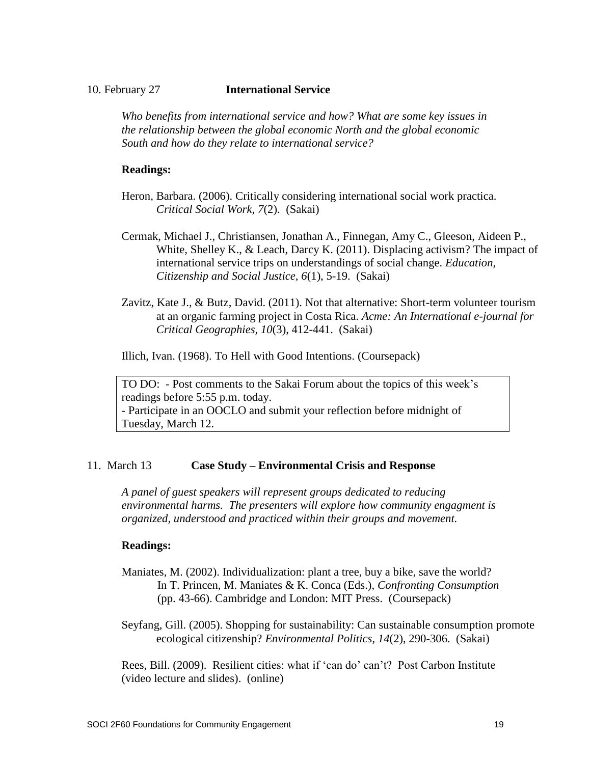### 10. February 27 **International Service**

*Who benefits from international service and how? What are some key issues in the relationship between the global economic North and the global economic South and how do they relate to international service?*

# **Readings:**

- Heron, Barbara. (2006). Critically considering international social work practica. *Critical Social Work, 7*(2). (Sakai)
- Cermak, Michael J., Christiansen, Jonathan A., Finnegan, Amy C., Gleeson, Aideen P., White, Shelley K., & Leach, Darcy K. (2011). Displacing activism? The impact of international service trips on understandings of social change. *Education, Citizenship and Social Justice, 6*(1), 5-19. (Sakai)
- Zavitz, Kate J., & Butz, David. (2011). Not that alternative: Short-term volunteer tourism at an organic farming project in Costa Rica. *Acme: An International e-journal for Critical Geographies, 10*(3), 412-441. (Sakai)

Illich, Ivan. (1968). To Hell with Good Intentions. (Coursepack)

TO DO: - Post comments to the Sakai Forum about the topics of this week's readings before 5:55 p.m. today. - Participate in an OOCLO and submit your reflection before midnight of Tuesday, March 12.

# 11. March 13 **Case Study – Environmental Crisis and Response**

*A panel of guest speakers will represent groups dedicated to reducing environmental harms. The presenters will explore how community engagment is organized, understood and practiced within their groups and movement.*

# **Readings:**

- Maniates, M. (2002). Individualization: plant a tree, buy a bike, save the world? In T. Princen, M. Maniates & K. Conca (Eds.), *Confronting Consumption* (pp. 43-66). Cambridge and London: MIT Press. (Coursepack)
- Seyfang, Gill. (2005). Shopping for sustainability: Can sustainable consumption promote ecological citizenship? *Environmental Politics, 14*(2), 290-306. (Sakai)

Rees, Bill. (2009). Resilient cities: what if 'can do' can't? Post Carbon Institute (video lecture and slides). (online)